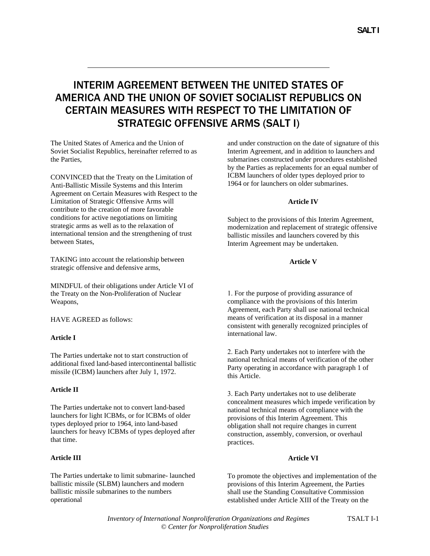# INTERIM AGREEMENT BETWEEN THE UNITED STATES OF AMERICA AND THE UNION OF SOVIET SOCIALIST REPUBLICS ON CERTAIN MEASURES WITH RESPECT TO THE LIMITATION OF STRATEGIC OFFENSIVE ARMS (SALT I)

The United States of America and the Union of Soviet Socialist Republics, hereinafter referred to as the Parties,

CONVINCED that the Treaty on the Limitation of Anti-Ballistic Missile Systems and this Interim Agreement on Certain Measures with Respect to the Limitation of Strategic Offensive Arms will contribute to the creation of more favorable conditions for active negotiations on limiting strategic arms as well as to the relaxation of international tension and the strengthening of trust between States,

TAKING into account the relationship between strategic offensive and defensive arms,

MINDFUL of their obligations under Article VI of the Treaty on the Non-Proliferation of Nuclear Weapons,

HAVE AGREED as follows:

### **Article I**

The Parties undertake not to start construction of additional fixed land-based intercontinental ballistic missile (ICBM) launchers after July 1, 1972.

### **Article II**

The Parties undertake not to convert land-based launchers for light ICBMs, or for ICBMs of older types deployed prior to 1964, into land-based launchers for heavy ICBMs of types deployed after that time.

### **Article III**

The Parties undertake to limit submarine- launched ballistic missile (SLBM) launchers and modern ballistic missile submarines to the numbers operational

and under construction on the date of signature of this Interim Agreement, and in addition to launchers and submarines constructed under procedures established by the Parties as replacements for an equal number of ICBM launchers of older types deployed prior to 1964 or for launchers on older submarines.

### **Article IV**

Subject to the provisions of this Interim Agreement, modernization and replacement of strategic offensive ballistic missiles and launchers covered by this Interim Agreement may be undertaken.

### **Article V**

1. For the purpose of providing assurance of compliance with the provisions of this Interim Agreement, each Party shall use national technical means of verification at its disposal in a manner consistent with generally recognized principles of international law.

2. Each Party undertakes not to interfere with the national technical means of verification of the other Party operating in accordance with paragraph 1 of this Article.

3. Each Party undertakes not to use deliberate concealment measures which impede verification by national technical means of compliance with the provisions of this Interim Agreement. This obligation shall not require changes in current construction, assembly, conversion, or overhaul practices.

#### **Article VI**

To promote the objectives and implementation of the provisions of this Interim Agreement, the Parties shall use the Standing Consultative Commission established under Article XIII of the Treaty on the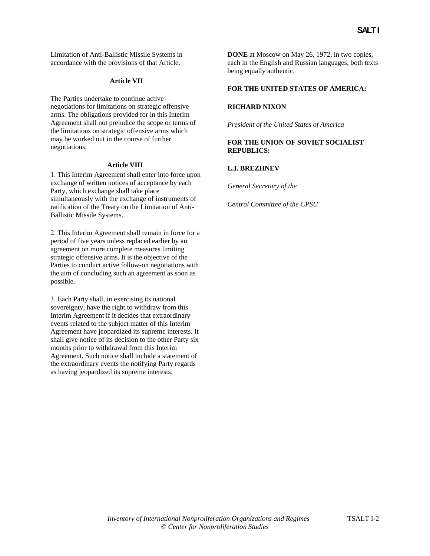Limitation of Anti-Ballistic Missile Systems in accordance with the provisions of that Article.

# **Article VII**

The Parties undertake to continue active negotiations for limitations on strategic offensive arms. The obligations provided for in this Interim Agreement shall not prejudice the scope or terms of the limitations on strategic offensive arms which may be worked out in the course of further negotiations.

### **Article VIII**

1. This Interim Agreement shall enter into force upon exchange of written notices of acceptance by each Party, which exchange shall take place simultaneously with the exchange of instruments of ratification of the Treaty on the Limitation of Anti-Ballistic Missile Systems.

2. This Interim Agreement shall remain in force for a period of five years unless replaced earlier by an agreement on more complete measures limiting strategic offensive arms. It is the objective of the Parties to conduct active follow-on negotiations with the aim of concluding such an agreement as soon as possible.

3. Each Party shall, in exercising its national sovereignty, have the right to withdraw from this Interim Agreement if it decides that extraordinary events related to the subject matter of this Interim Agreement have jeopardized its supreme interests. It shall give notice of its decision to the other Party six months prior to withdrawal from this Interim Agreement. Such notice shall include a statement of the extraordinary events the notifying Party regards as having jeopardized its supreme interests.

**DONE** at Moscow on May 26, 1972, in two copies, each in the English and Russian languages, both texts being equally authentic.

# **FOR THE UNITED STATES OF AMERICA:**

# **RICHARD NIXON**

*President of the United States of America*

### **FOR THE UNION OF SOVIET SOCIALIST REPUBLICS:**

# **L.I. BREZHNEV**

*General Secretary of the* 

*Central Committee of the CPSU*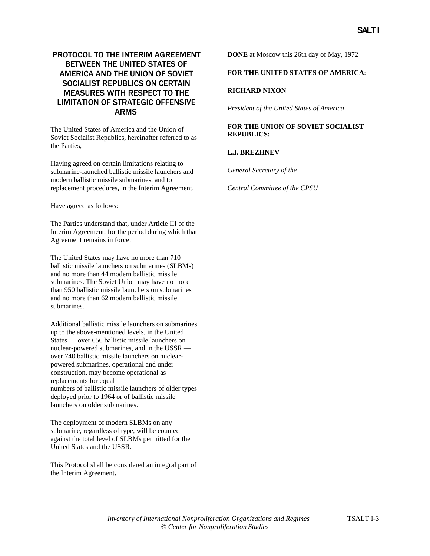# PROTOCOL TO THE INTERIM AGREEMENT BETWEEN THE UNITED STATES OF AMERICA AND THE UNION OF SOVIET SOCIALIST REPUBLICS ON CERTAIN MEASURES WITH RESPECT TO THE LIMITATION OF STRATEGIC OFFENSIVE ARMS

The United States of America and the Union of Soviet Socialist Republics, hereinafter referred to as the Parties,

Having agreed on certain limitations relating to submarine-launched ballistic missile launchers and modern ballistic missile submarines, and to replacement procedures, in the Interim Agreement,

Have agreed as follows:

The Parties understand that, under Article III of the Interim Agreement, for the period during which that Agreement remains in force:

The United States may have no more than 710 ballistic missile launchers on submarines (SLBMs) and no more than 44 modern ballistic missile submarines. The Soviet Union may have no more than 950 ballistic missile launchers on submarines and no more than 62 modern ballistic missile submarines.

Additional ballistic missile launchers on submarines up to the above-mentioned levels, in the United States — over 656 ballistic missile launchers on nuclear-powered submarines, and in the USSR over 740 ballistic missile launchers on nuclearpowered submarines, operational and under construction, may become operational as replacements for equal numbers of ballistic missile launchers of older types deployed prior to 1964 or of ballistic missile launchers on older submarines.

The deployment of modern SLBMs on any submarine, regardless of type, will be counted against the total level of SLBMs permitted for the United States and the USSR.

This Protocol shall be considered an integral part of the Interim Agreement.

**DONE** at Moscow this 26th day of May, 1972

# **FOR THE UNITED STATES OF AMERICA:**

# **RICHARD NIXON**

*President of the United States of America*

# **FOR THE UNION OF SOVIET SOCIALIST REPUBLICS:**

# **L.I. BREZHNEV**

*General Secretary of the*

*Central Committee of the CPSU*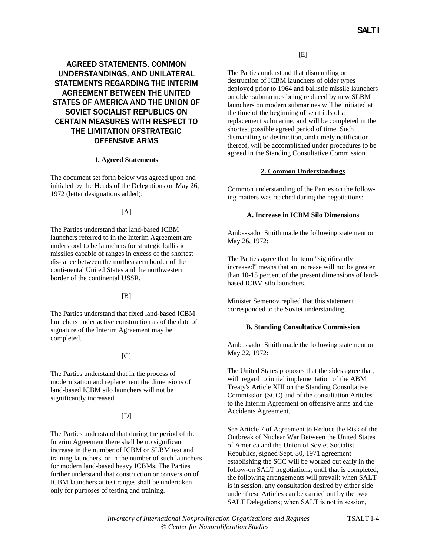# AGREED STATEMENTS, COMMON UNDERSTANDINGS, AND UNILATERAL STATEMENTS REGARDING THE INTERIM AGREEMENT BETWEEN THE UNITED STATES OF AMERICA AND THE UNION OF SOVIET SOCIALIST REPUBLICS ON CERTAIN MEASURES WITH RESPECT TO THE LIMITATION OFSTRATEGIC OFFENSIVE ARMS

### **1. Agreed Statements**

The document set forth below was agreed upon and initialed by the Heads of the Delegations on May 26, 1972 (letter designations added):

### $[A]$

The Parties understand that land-based ICBM launchers referred to in the Interim Agreement are understood to be launchers for strategic ballistic missiles capable of ranges in excess of the shortest dis-tance between the northeastern border of the conti-nental United States and the northwestern border of the continental USSR.

### $[B]$

The Parties understand that fixed land-based ICBM launchers under active construction as of the date of signature of the Interim Agreement may be completed.

### $[<sub>C</sub>]$

The Parties understand that in the process of modernization and replacement the dimensions of land-based ICBM silo launchers will not be significantly increased.

### $[D]$

The Parties understand that during the period of the Interim Agreement there shall be no significant increase in the number of ICBM or SLBM test and training launchers, or in the number of such launchers for modern land-based heavy ICBMs. The Parties further understand that construction or conversion of ICBM launchers at test ranges shall be undertaken only for purposes of testing and training.

### [E]

The Parties understand that dismantling or destruction of ICBM launchers of older types deployed prior to 1964 and ballistic missile launchers on older submarines being replaced by new SLBM launchers on modern submarines will be initiated at the time of the beginning of sea trials of a replacement submarine, and will be completed in the shortest possible agreed period of time. Such dismantling or destruction, and timely notification thereof, will be accomplished under procedures to be agreed in the Standing Consultative Commission.

### **2. Common Understandings**

Common understanding of the Parties on the following matters was reached during the negotiations:

### **A. Increase in ICBM Silo Dimensions**

Ambassador Smith made the following statement on May 26, 1972:

The Parties agree that the term "significantly increased" means that an increase will not be greater than 10-15 percent of the present dimensions of landbased ICBM silo launchers.

Minister Semenov replied that this statement corresponded to the Soviet understanding.

### **B. Standing Consultative Commission**

Ambassador Smith made the following statement on May 22, 1972:

The United States proposes that the sides agree that, with regard to initial implementation of the ABM Treaty's Article XIII on the Standing Consultative Commission (SCC) and of the consultation Articles to the Interim Agreement on offensive arms and the Accidents Agreement,

See Article 7 of Agreement to Reduce the Risk of the Outbreak of Nuclear War Between the United States of America and the Union of Soviet Socialist Republics, signed Sept. 30, 1971 agreement establishing the SCC will be worked out early in the follow-on SALT negotiations; until that is completed, the following arrangements will prevail: when SALT is in session, any consultation desired by either side under these Articles can be carried out by the two SALT Delegations; when SALT is not in session,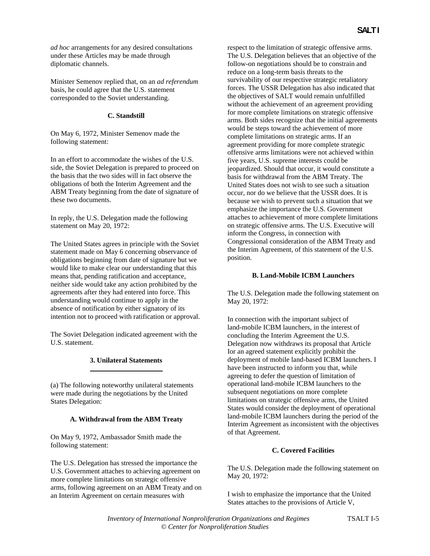*ad hoc* arrangements for any desired consultations under these Articles may be made through diplomatic channels.

Minister Semenov replied that, on an *ad referendum* basis, he could agree that the U.S. statement corresponded to the Soviet understanding.

# **C. Standstill**

On May 6, 1972, Minister Semenov made the following statement:

In an effort to accommodate the wishes of the U.S. side, the Soviet Delegation is prepared to proceed on the basis that the two sides will in fact observe the obligations of both the Interim Agreement and the ABM Treaty beginning from the date of signature of these two documents.

In reply, the U.S. Delegation made the following statement on May 20, 1972:

The United States agrees in principle with the Soviet statement made on May 6 concerning observance of obligations beginning from date of signature but we would like to make clear our understanding that this means that, pending ratification and acceptance, neither side would take any action prohibited by the agreements after they had entered into force. This understanding would continue to apply in the absence of notification by either signatory of its intention not to proceed with ratification or approval.

The Soviet Delegation indicated agreement with the U.S. statement.

# **3. Unilateral Statements**

(a) The following noteworthy unilateral statements were made during the negotiations by the United States Delegation:

# **A. Withdrawal from the ABM Treaty**

On May 9, 1972, Ambassador Smith made the following statement:

The U.S. Delegation has stressed the importance the U.S. Government attaches to achieving agreement on more complete limitations on strategic offensive arms, following agreement on an ABM Treaty and on an Interim Agreement on certain measures with

respect to the limitation of strategic offensive arms. The U.S. Delegation believes that an objective of the follow-on negotiations should be to constrain and reduce on a long-term basis threats to the survivability of our respective strategic retaliatory forces. The USSR Delegation has also indicated that the objectives of SALT would remain unfulfilled without the achievement of an agreement providing for more complete limitations on strategic offensive arms. Both sides recognize that the initial agreements would be steps toward the achievement of more complete limitations on strategic arms. If an agreement providing for more complete strategic offensive arms limitations were not achieved within five years, U.S. supreme interests could be jeopardized. Should that occur, it would constitute a basis for withdrawal from the ABM Treaty. The United States does not wish to see such a situation occur, nor do we believe that the USSR does. It is because we wish to prevent such a situation that we emphasize the importance the U.S. Government attaches to achievement of more complete limitations on strategic offensive arms. The U.S. Executive will inform the Congress, in connection with Congressional consideration of the ABM Treaty and the Interim Agreement, of this statement of the U.S. position.

### **B. Land-Mobile ICBM Launchers**

The U.S. Delegation made the following statement on May 20, 1972:

In connection with the important subject of land-mobile ICBM launchers, in the interest of concluding the Interim Agreement the U.S. Delegation now withdraws its proposal that Article Ior an agreed statement explicitly prohibit the deployment of mobile land-based ICBM launchers. I have been instructed to inform you that, while agreeing to defer the question of limitation of operational land-mobile ICBM launchers to the subsequent negotiations on more complete limitations on strategic offensive arms, the United States would consider the deployment of operational land-mobile ICBM launchers during the period of the Interim Agreement as inconsistent with the objectives of that Agreement.

# **C. Covered Facilities**

The U.S. Delegation made the following statement on May 20, 1972:

I wish to emphasize the importance that the United States attaches to the provisions of Article V,